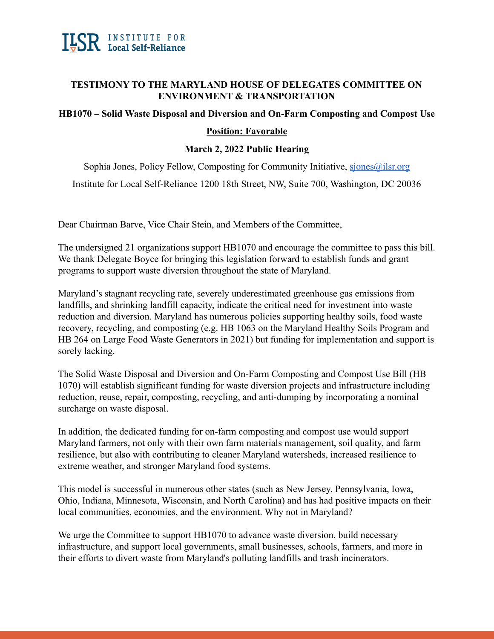

## **TESTIMONY TO THE MARYLAND HOUSE OF DELEGATES COMMITTEE ON ENVIRONMENT & TRANSPORTATION**

## **HB1070 – Solid Waste Disposal and Diversion and On-Farm Composting and Compost Use**

## **Position: Favorable**

## **March 2, 2022 Public Hearing**

Sophia Jones, Policy Fellow, Composting for Community Initiative, siones@ilsr.org Institute for Local Self-Reliance 1200 18th Street, NW, Suite 700, Washington, DC 20036

Dear Chairman Barve, Vice Chair Stein, and Members of the Committee,

The undersigned 21 organizations support HB1070 and encourage the committee to pass this bill. We thank Delegate Boyce for bringing this legislation forward to establish funds and grant programs to support waste diversion throughout the state of Maryland.

Maryland's stagnant recycling rate, severely underestimated greenhouse gas emissions from landfills, and shrinking landfill capacity, indicate the critical need for investment into waste reduction and diversion. Maryland has numerous policies supporting healthy soils, food waste recovery, recycling, and composting (e.g. HB 1063 on the Maryland Healthy Soils Program and HB 264 on Large Food Waste Generators in 2021) but funding for implementation and support is sorely lacking.

The Solid Waste Disposal and Diversion and On-Farm Composting and Compost Use Bill (HB 1070) will establish significant funding for waste diversion projects and infrastructure including reduction, reuse, repair, composting, recycling, and anti-dumping by incorporating a nominal surcharge on waste disposal.

In addition, the dedicated funding for on-farm composting and compost use would support Maryland farmers, not only with their own farm materials management, soil quality, and farm resilience, but also with contributing to cleaner Maryland watersheds, increased resilience to extreme weather, and stronger Maryland food systems.

This model is successful in numerous other states (such as New Jersey, Pennsylvania, Iowa, Ohio, Indiana, Minnesota, Wisconsin, and North Carolina) and has had positive impacts on their local communities, economies, and the environment. Why not in Maryland?

We urge the Committee to support HB1070 to advance waste diversion, build necessary infrastructure, and support local governments, small businesses, schools, farmers, and more in their efforts to divert waste from Maryland's polluting landfills and trash incinerators.